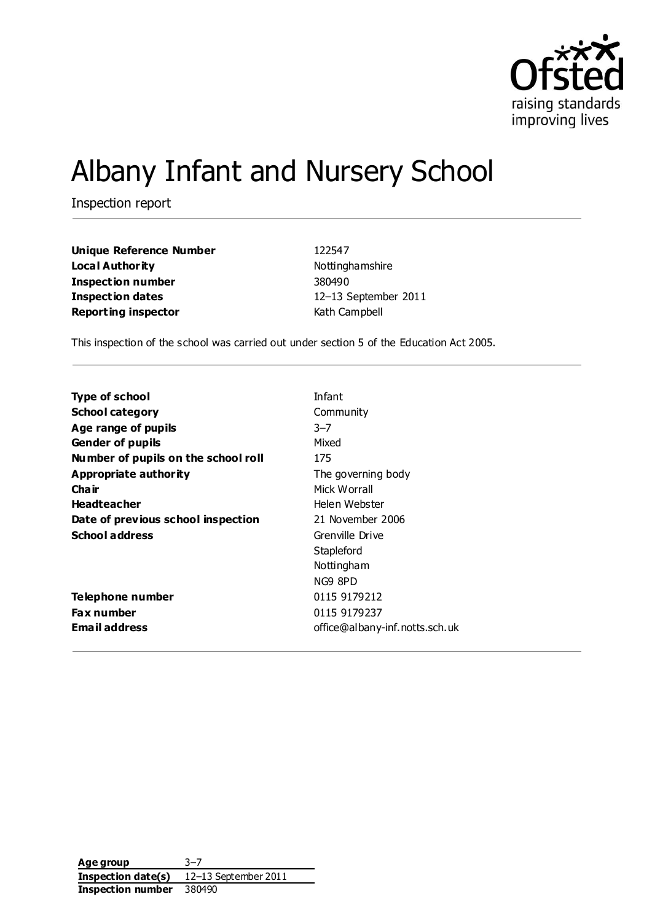

# Albany Infant and Nursery School

Inspection report

**Unique Reference Number** 122547 **Local Authority Nottinghamshire Inspection number** 380490 **Inspection dates** 12–13 September 2011 **Reporting inspector Kath Campbell** 

This inspection of the school was carried out under section 5 of the Education Act 2005.

| <b>School category</b><br>Community<br>Age range of pupils<br>$3 - 7$ |  |
|-----------------------------------------------------------------------|--|
|                                                                       |  |
|                                                                       |  |
| Mixed<br><b>Gender of pupils</b>                                      |  |
| Number of pupils on the school roll<br>175                            |  |
| Appropriate authority<br>The governing body                           |  |
| Cha ir<br>Mick Worrall                                                |  |
| <b>Headteacher</b><br>Helen Webster                                   |  |
| Date of previous school inspection<br>21 November 2006                |  |
| <b>School address</b><br>Grenville Drive                              |  |
| Stapleford                                                            |  |
| Nottingham                                                            |  |
| NG9 8PD                                                               |  |
| 0115 9179212<br><b>Telephone number</b>                               |  |
| 0115 9179237<br><b>Fax number</b>                                     |  |
| Email address<br>office@albany-inf.notts.sch.uk                       |  |

**Age group** 3–7 **Inspection date(s)** 12–13 September 2011 **Inspection number** 380490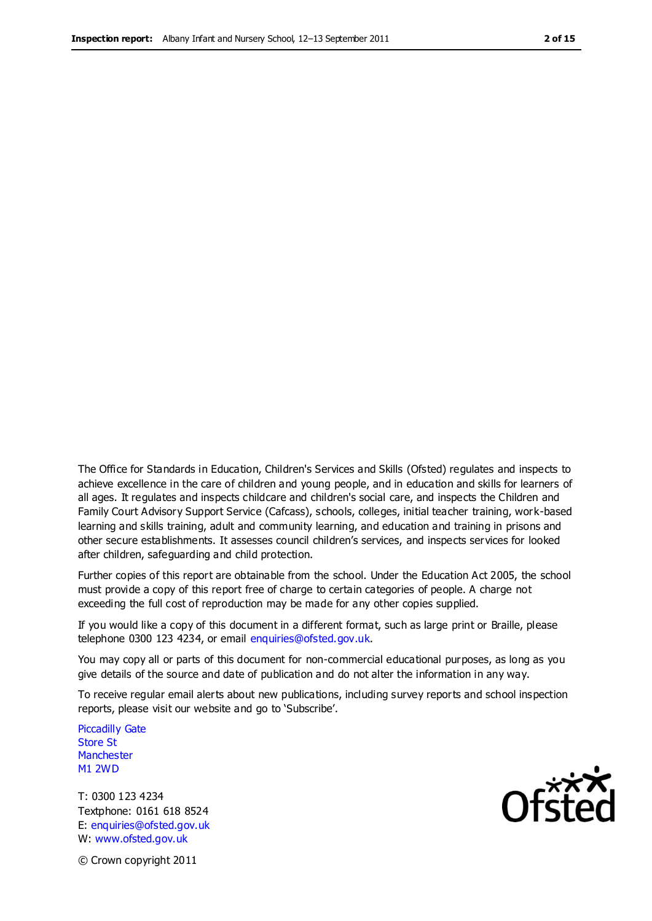The Office for Standards in Education, Children's Services and Skills (Ofsted) regulates and inspects to achieve excellence in the care of children and young people, and in education and skills for learners of all ages. It regulates and inspects childcare and children's social care, and inspects the Children and Family Court Advisory Support Service (Cafcass), schools, colleges, initial teacher training, work-based learning and skills training, adult and community learning, and education and training in prisons and other secure establishments. It assesses council children's services, and inspects services for looked after children, safeguarding and child protection.

Further copies of this report are obtainable from the school. Under the Education Act 2005, the school must provide a copy of this report free of charge to certain categories of people. A charge not exceeding the full cost of reproduction may be made for any other copies supplied.

If you would like a copy of this document in a different format, such as large print or Braille, please telephone 0300 123 4234, or email enquiries@ofsted.gov.uk.

You may copy all or parts of this document for non-commercial educational purposes, as long as you give details of the source and date of publication and do not alter the information in any way.

To receive regular email alerts about new publications, including survey reports and school inspection reports, please visit our website and go to 'Subscribe'.

Piccadilly Gate Store St **Manchester** M1 2WD

T: 0300 123 4234 Textphone: 0161 618 8524 E: enquiries@ofsted.gov.uk W: www.ofsted.gov.uk

Ofsted

© Crown copyright 2011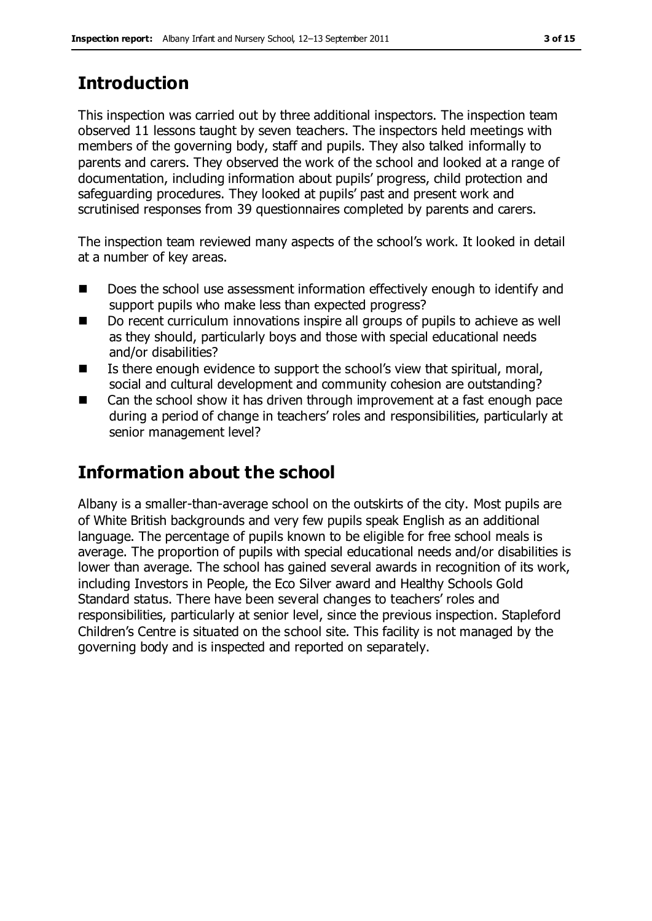# **Introduction**

This inspection was carried out by three additional inspectors. The inspection team observed 11 lessons taught by seven teachers. The inspectors held meetings with members of the governing body, staff and pupils. They also talked informally to parents and carers. They observed the work of the school and looked at a range of documentation, including information about pupils' progress, child protection and safeguarding procedures. They looked at pupils' past and present work and scrutinised responses from 39 questionnaires completed by parents and carers.

The inspection team reviewed many aspects of the school's work. It looked in detail at a number of key areas.

- Does the school use assessment information effectively enough to identify and support pupils who make less than expected progress?
- Do recent curriculum innovations inspire all groups of pupils to achieve as well as they should, particularly boys and those with special educational needs and/or disabilities?
- $\blacksquare$  Is there enough evidence to support the school's view that spiritual, moral, social and cultural development and community cohesion are outstanding?
- Can the school show it has driven through improvement at a fast enough pace during a period of change in teachers' roles and responsibilities, particularly at senior management level?

# **Information about the school**

Albany is a smaller-than-average school on the outskirts of the city. Most pupils are of White British backgrounds and very few pupils speak English as an additional language. The percentage of pupils known to be eligible for free school meals is average. The proportion of pupils with special educational needs and/or disabilities is lower than average. The school has gained several awards in recognition of its work, including Investors in People, the Eco Silver award and Healthy Schools Gold Standard status. There have been several changes to teachers' roles and responsibilities, particularly at senior level, since the previous inspection. Stapleford Children's Centre is situated on the school site. This facility is not managed by the governing body and is inspected and reported on separately.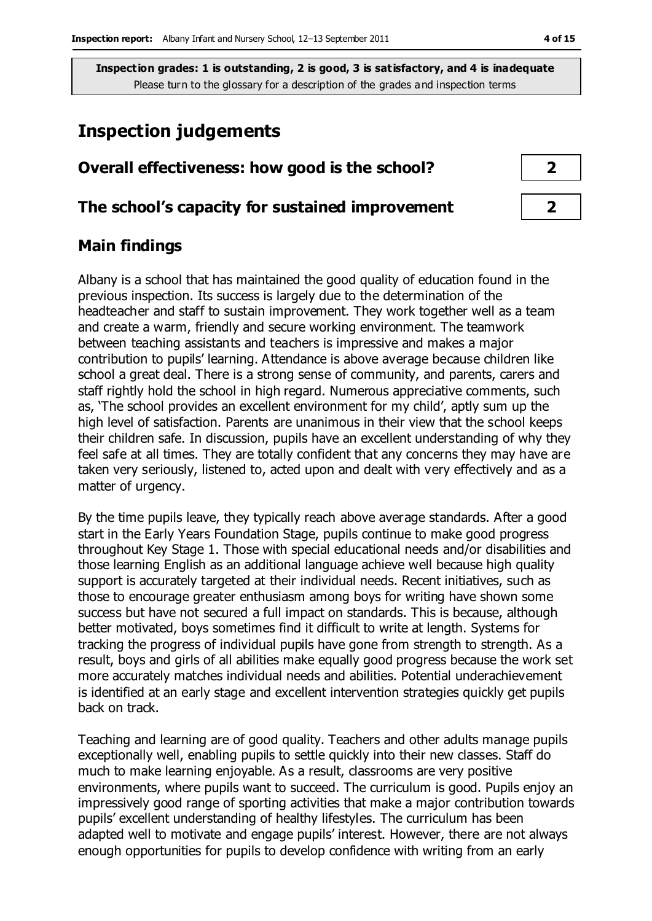# **Inspection judgements**

## **Overall effectiveness: how good is the school? 2**

#### **The school's capacity for sustained improvement 2**

### **Main findings**

Albany is a school that has maintained the good quality of education found in the previous inspection. Its success is largely due to the determination of the headteacher and staff to sustain improvement. They work together well as a team and create a warm, friendly and secure working environment. The teamwork between teaching assistants and teachers is impressive and makes a major contribution to pupils' learning. Attendance is above average because children like school a great deal. There is a strong sense of community, and parents, carers and staff rightly hold the school in high regard. Numerous appreciative comments, such as, 'The school provides an excellent environment for my child', aptly sum up the high level of satisfaction. Parents are unanimous in their view that the school keeps their children safe. In discussion, pupils have an excellent understanding of why they feel safe at all times. They are totally confident that any concerns they may have are taken very seriously, listened to, acted upon and dealt with very effectively and as a matter of urgency.

By the time pupils leave, they typically reach above average standards. After a good start in the Early Years Foundation Stage, pupils continue to make good progress throughout Key Stage 1. Those with special educational needs and/or disabilities and those learning English as an additional language achieve well because high quality support is accurately targeted at their individual needs. Recent initiatives, such as those to encourage greater enthusiasm among boys for writing have shown some success but have not secured a full impact on standards. This is because, although better motivated, boys sometimes find it difficult to write at length. Systems for tracking the progress of individual pupils have gone from strength to strength. As a result, boys and girls of all abilities make equally good progress because the work set more accurately matches individual needs and abilities. Potential underachievement is identified at an early stage and excellent intervention strategies quickly get pupils back on track.

Teaching and learning are of good quality. Teachers and other adults manage pupils exceptionally well, enabling pupils to settle quickly into their new classes. Staff do much to make learning enjoyable. As a result, classrooms are very positive environments, where pupils want to succeed. The curriculum is good. Pupils enjoy an impressively good range of sporting activities that make a major contribution towards pupils' excellent understanding of healthy lifestyles. The curriculum has been adapted well to motivate and engage pupils' interest. However, there are not always enough opportunities for pupils to develop confidence with writing from an early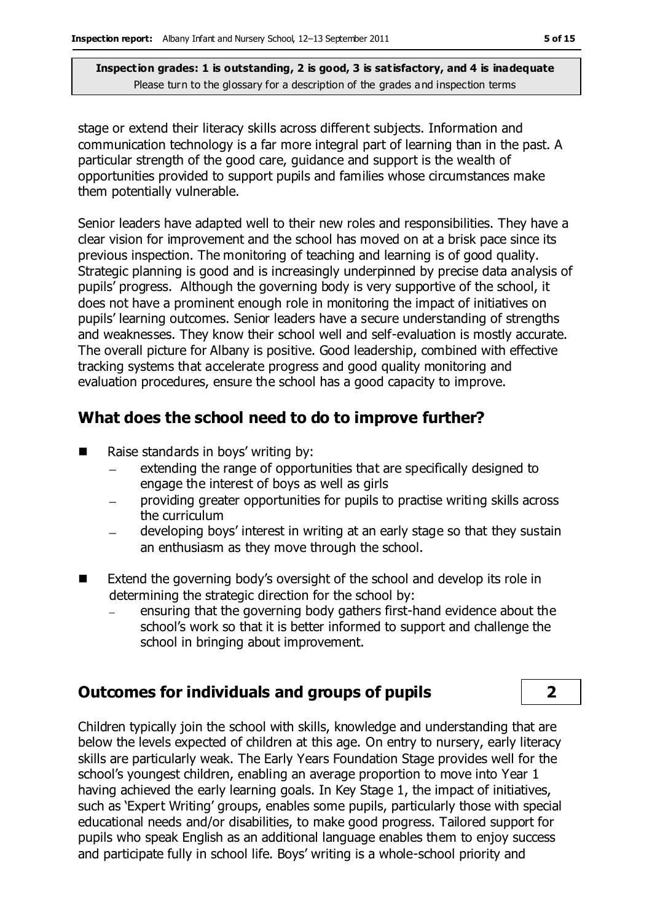stage or extend their literacy skills across different subjects. Information and communication technology is a far more integral part of learning than in the past. A particular strength of the good care, guidance and support is the wealth of opportunities provided to support pupils and families whose circumstances make them potentially vulnerable.

Senior leaders have adapted well to their new roles and responsibilities. They have a clear vision for improvement and the school has moved on at a brisk pace since its previous inspection. The monitoring of teaching and learning is of good quality. Strategic planning is good and is increasingly underpinned by precise data analysis of pupils' progress. Although the governing body is very supportive of the school, it does not have a prominent enough role in monitoring the impact of initiatives on pupils' learning outcomes. Senior leaders have a secure understanding of strengths and weaknesses. They know their school well and self-evaluation is mostly accurate. The overall picture for Albany is positive. Good leadership, combined with effective tracking systems that accelerate progress and good quality monitoring and evaluation procedures, ensure the school has a good capacity to improve.

# **What does the school need to do to improve further?**

- Raise standards in boys' writing by:
	- extending the range of opportunities that are specifically designed to  $\frac{1}{2}$ engage the interest of boys as well as girls
	- providing greater opportunities for pupils to practise writing skills across the curriculum
	- developing boys' interest in writing at an early stage so that they sustain an enthusiasm as they move through the school.
- Extend the governing body's oversight of the school and develop its role in determining the strategic direction for the school by:
	- ensuring that the governing body gathers first-hand evidence about the school's work so that it is better informed to support and challenge the school in bringing about improvement.

# **Outcomes for individuals and groups of pupils 2**

Children typically join the school with skills, knowledge and understanding that are below the levels expected of children at this age. On entry to nursery, early literacy skills are particularly weak. The Early Years Foundation Stage provides well for the school's youngest children, enabling an average proportion to move into Year 1 having achieved the early learning goals. In Key Stage 1, the impact of initiatives, such as 'Expert Writing' groups, enables some pupils, particularly those with special educational needs and/or disabilities, to make good progress. Tailored support for pupils who speak English as an additional language enables them to enjoy success and participate fully in school life. Boys' writing is a whole-school priority and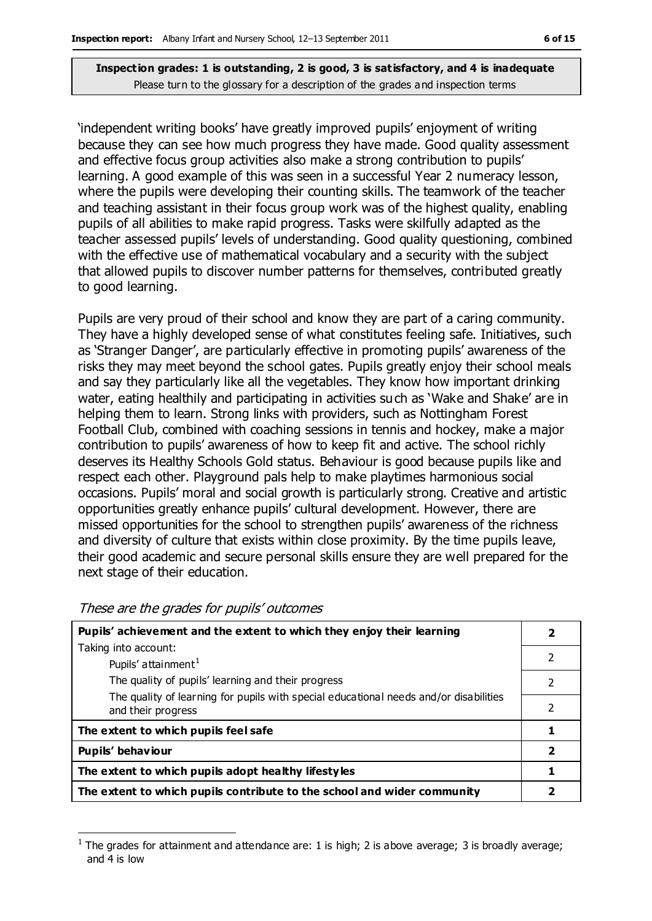'independent writing books' have greatly improved pupils' enjoyment of writing because they can see how much progress they have made. Good quality assessment and effective focus group activities also make a strong contribution to pupils' learning. A good example of this was seen in a successful Year 2 numeracy lesson, where the pupils were developing their counting skills. The teamwork of the teacher and teaching assistant in their focus group work was of the highest quality, enabling pupils of all abilities to make rapid progress. Tasks were skilfully adapted as the teacher assessed pupils' levels of understanding. Good quality questioning, combined with the effective use of mathematical vocabulary and a security with the subject that allowed pupils to discover number patterns for themselves, contributed greatly to good learning.

Pupils are very proud of their school and know they are part of a caring community. They have a highly developed sense of what constitutes feeling safe. Initiatives, such as 'Stranger Danger', are particularly effective in promoting pupils' awareness of the risks they may meet beyond the school gates. Pupils greatly enjoy their school meals and say they particularly like all the vegetables. They know how important drinking water, eating healthily and participating in activities such as 'Wake and Shake' are in helping them to learn. Strong links with providers, such as Nottingham Forest Football Club, combined with coaching sessions in tennis and hockey, make a major contribution to pupils' awareness of how to keep fit and active. The school richly deserves its Healthy Schools Gold status. Behaviour is good because pupils like and respect each other. Playground pals help to make playtimes harmonious social occasions. Pupils' moral and social growth is particularly strong. Creative and artistic opportunities greatly enhance pupils' cultural development. However, there are missed opportunities for the school to strengthen pupils' awareness of the richness and diversity of culture that exists within close proximity. By the time pupils leave, their good academic and secure personal skills ensure they are well prepared for the next stage of their education.

| Pupils' achievement and the extent to which they enjoy their learning                                       |               |  |
|-------------------------------------------------------------------------------------------------------------|---------------|--|
| Taking into account:                                                                                        |               |  |
| Pupils' attainment <sup>1</sup>                                                                             | 2             |  |
| The quality of pupils' learning and their progress                                                          | $\mathcal{P}$ |  |
| The quality of learning for pupils with special educational needs and/or disabilities<br>and their progress | 2             |  |
| The extent to which pupils feel safe                                                                        |               |  |
| Pupils' behaviour                                                                                           |               |  |
| The extent to which pupils adopt healthy lifestyles                                                         |               |  |
| The extent to which pupils contribute to the school and wider community                                     |               |  |

#### These are the grades for pupils' outcomes

 $\overline{a}$ 

<sup>1</sup> The grades for attainment and attendance are: 1 is high; 2 is above average; 3 is broadly average; and 4 is low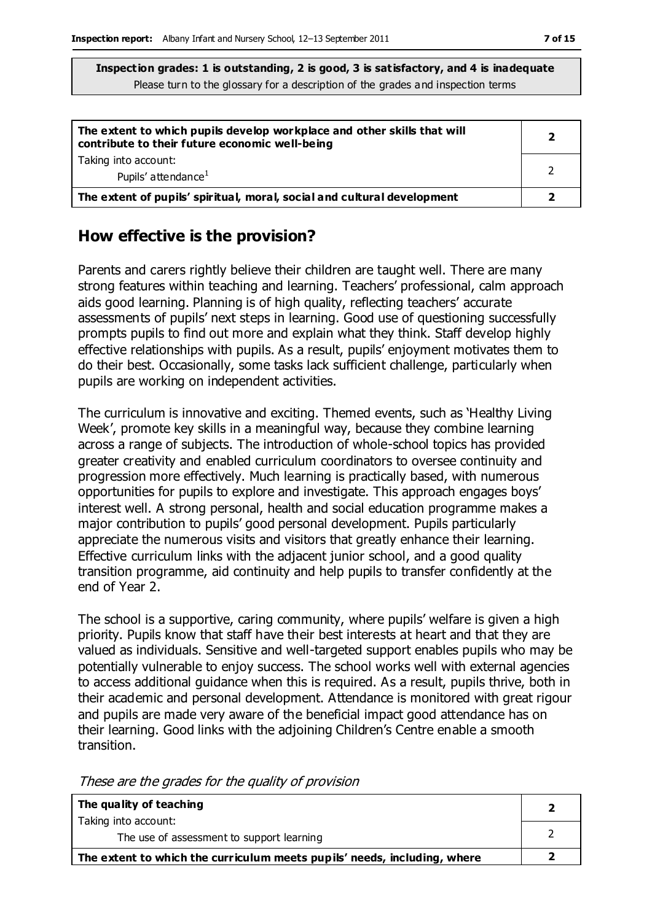| The extent to which pupils develop workplace and other skills that will<br>contribute to their future economic well-being | 2 |
|---------------------------------------------------------------------------------------------------------------------------|---|
| Taking into account:<br>Pupils' attendance <sup>1</sup>                                                                   |   |
| The extent of pupils' spiritual, moral, social and cultural development                                                   |   |

### **How effective is the provision?**

Parents and carers rightly believe their children are taught well. There are many strong features within teaching and learning. Teachers' professional, calm approach aids good learning. Planning is of high quality, reflecting teachers' accurate assessments of pupils' next steps in learning. Good use of questioning successfully prompts pupils to find out more and explain what they think. Staff develop highly effective relationships with pupils. As a result, pupils' enjoyment motivates them to do their best. Occasionally, some tasks lack sufficient challenge, particularly when pupils are working on independent activities.

The curriculum is innovative and exciting. Themed events, such as 'Healthy Living Week', promote key skills in a meaningful way, because they combine learning across a range of subjects. The introduction of whole-school topics has provided greater creativity and enabled curriculum coordinators to oversee continuity and progression more effectively. Much learning is practically based, with numerous opportunities for pupils to explore and investigate. This approach engages boys' interest well. A strong personal, health and social education programme makes a major contribution to pupils' good personal development. Pupils particularly appreciate the numerous visits and visitors that greatly enhance their learning. Effective curriculum links with the adjacent junior school, and a good quality transition programme, aid continuity and help pupils to transfer confidently at the end of Year 2.

The school is a supportive, caring community, where pupils' welfare is given a high priority. Pupils know that staff have their best interests at heart and that they are valued as individuals. Sensitive and well-targeted support enables pupils who may be potentially vulnerable to enjoy success. The school works well with external agencies to access additional guidance when this is required. As a result, pupils thrive, both in their academic and personal development. Attendance is monitored with great rigour and pupils are made very aware of the beneficial impact good attendance has on their learning. Good links with the adjoining Children's Centre enable a smooth transition.

| These are the grades for the quality of provision |
|---------------------------------------------------|
|---------------------------------------------------|

| The quality of teaching                                                  |  |
|--------------------------------------------------------------------------|--|
| Taking into account:                                                     |  |
| The use of assessment to support learning                                |  |
| The extent to which the curriculum meets pupils' needs, including, where |  |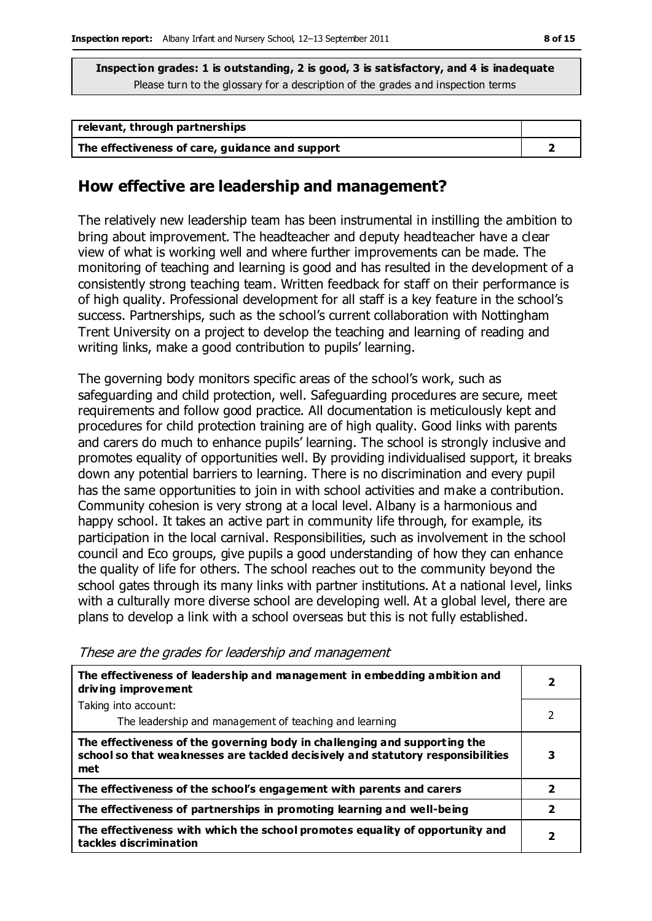| relevant, through partnerships                  |  |
|-------------------------------------------------|--|
| The effectiveness of care, guidance and support |  |

#### **How effective are leadership and management?**

The relatively new leadership team has been instrumental in instilling the ambition to bring about improvement. The headteacher and deputy headteacher have a clear view of what is working well and where further improvements can be made. The monitoring of teaching and learning is good and has resulted in the development of a consistently strong teaching team. Written feedback for staff on their performance is of high quality. Professional development for all staff is a key feature in the school's success. Partnerships, such as the school's current collaboration with Nottingham Trent University on a project to develop the teaching and learning of reading and writing links, make a good contribution to pupils' learning.

The governing body monitors specific areas of the school's work, such as safeguarding and child protection, well. Safeguarding procedures are secure, meet requirements and follow good practice. All documentation is meticulously kept and procedures for child protection training are of high quality. Good links with parents and carers do much to enhance pupils' learning. The school is strongly inclusive and promotes equality of opportunities well. By providing individualised support, it breaks down any potential barriers to learning. There is no discrimination and every pupil has the same opportunities to join in with school activities and make a contribution. Community cohesion is very strong at a local level. Albany is a harmonious and happy school. It takes an active part in community life through, for example, its participation in the local carnival. Responsibilities, such as involvement in the school council and Eco groups, give pupils a good understanding of how they can enhance the quality of life for others. The school reaches out to the community beyond the school gates through its many links with partner institutions. At a national level, links with a culturally more diverse school are developing well. At a global level, there are plans to develop a link with a school overseas but this is not fully established.

**The effectiveness of leadership and management in embedding ambition and driving improvement** Taking into account: The leadership and management of teaching and learning **2**  $\overline{2}$ **The effectiveness of the governing body in challenging and supporting the school so that weaknesses are tackled decisively and statutory responsibilities met 3 The effectiveness of the school's engagement with parents and carers 2 The effectiveness of partnerships in promoting learning and well-being 2 The effectiveness with which the school promotes equality of opportunity and tackles discrimination <sup>2</sup>**

These are the grades for leadership and management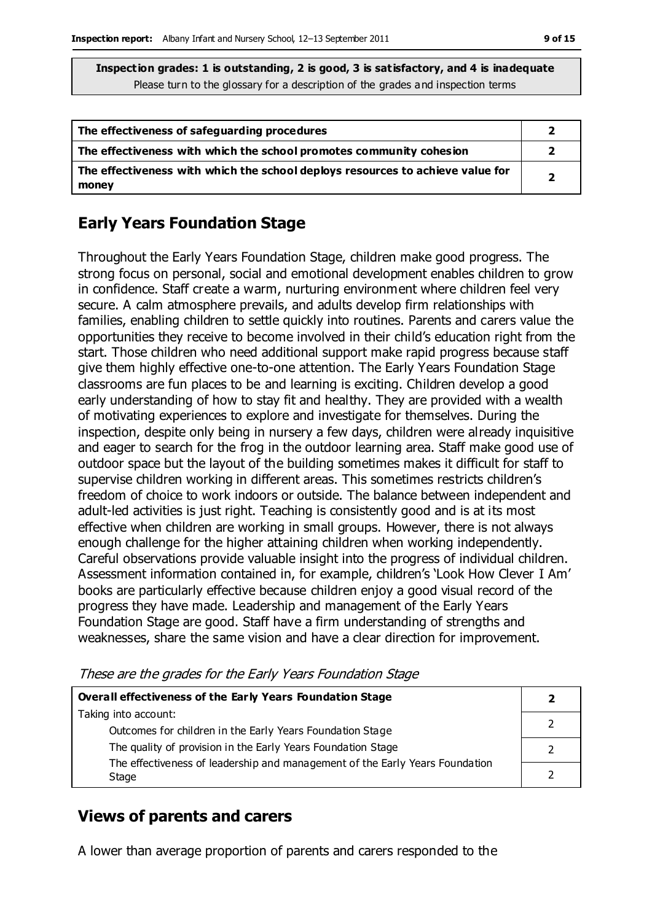| The effectiveness of safeguarding procedures                                            |  |
|-----------------------------------------------------------------------------------------|--|
| The effectiveness with which the school promotes community cohesion                     |  |
| The effectiveness with which the school deploys resources to achieve value for<br>money |  |

# **Early Years Foundation Stage**

Throughout the Early Years Foundation Stage, children make good progress. The strong focus on personal, social and emotional development enables children to grow in confidence. Staff create a warm, nurturing environment where children feel very secure. A calm atmosphere prevails, and adults develop firm relationships with families, enabling children to settle quickly into routines. Parents and carers value the opportunities they receive to become involved in their child's education right from the start. Those children who need additional support make rapid progress because staff give them highly effective one-to-one attention. The Early Years Foundation Stage classrooms are fun places to be and learning is exciting. Children develop a good early understanding of how to stay fit and healthy. They are provided with a wealth of motivating experiences to explore and investigate for themselves. During the inspection, despite only being in nursery a few days, children were already inquisitive and eager to search for the frog in the outdoor learning area. Staff make good use of outdoor space but the layout of the building sometimes makes it difficult for staff to supervise children working in different areas. This sometimes restricts children's freedom of choice to work indoors or outside. The balance between independent and adult-led activities is just right. Teaching is consistently good and is at its most effective when children are working in small groups. However, there is not always enough challenge for the higher attaining children when working independently. Careful observations provide valuable insight into the progress of individual children. Assessment information contained in, for example, children's 'Look How Clever I Am' books are particularly effective because children enjoy a good visual record of the progress they have made. Leadership and management of the Early Years Foundation Stage are good. Staff have a firm understanding of strengths and weaknesses, share the same vision and have a clear direction for improvement.

These are the grades for the Early Years Foundation Stage

| Overall effectiveness of the Early Years Foundation Stage                    |  |  |
|------------------------------------------------------------------------------|--|--|
| Taking into account:                                                         |  |  |
| Outcomes for children in the Early Years Foundation Stage                    |  |  |
| The quality of provision in the Early Years Foundation Stage                 |  |  |
| The effectiveness of leadership and management of the Early Years Foundation |  |  |
| Stage                                                                        |  |  |

## **Views of parents and carers**

A lower than average proportion of parents and carers responded to the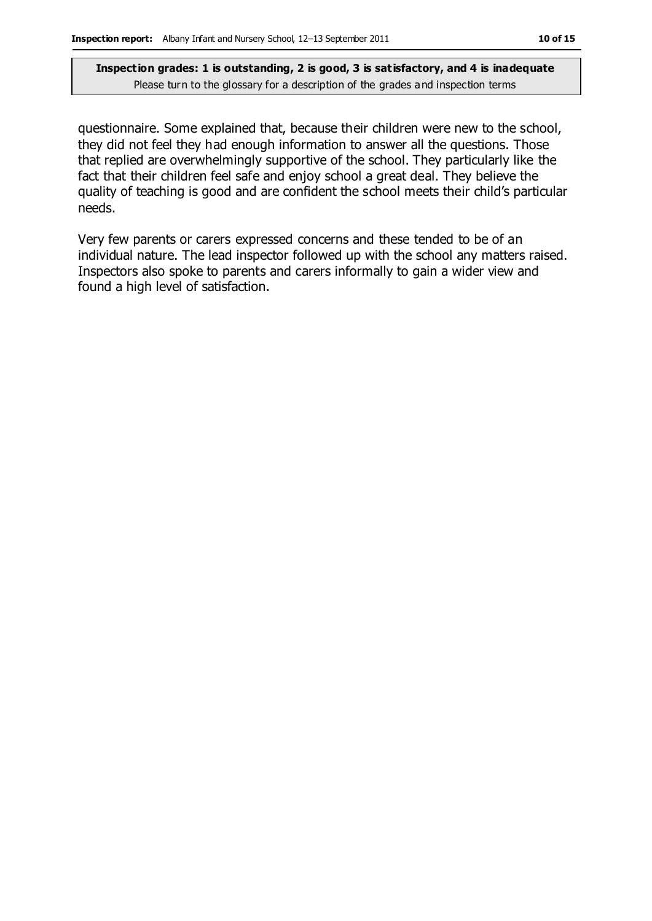questionnaire. Some explained that, because their children were new to the school, they did not feel they had enough information to answer all the questions. Those that replied are overwhelmingly supportive of the school. They particularly like the fact that their children feel safe and enjoy school a great deal. They believe the quality of teaching is good and are confident the school meets their child's particular needs.

Very few parents or carers expressed concerns and these tended to be of an individual nature. The lead inspector followed up with the school any matters raised. Inspectors also spoke to parents and carers informally to gain a wider view and found a high level of satisfaction.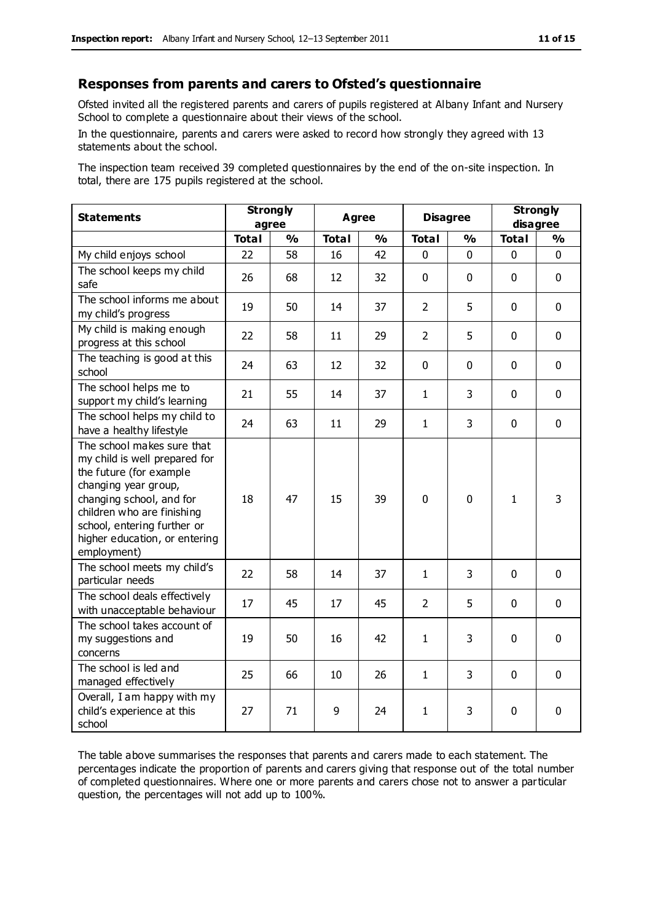#### **Responses from parents and carers to Ofsted's questionnaire**

Ofsted invited all the registered parents and carers of pupils registered at Albany Infant and Nursery School to complete a questionnaire about their views of the school.

In the questionnaire, parents and carers were asked to record how strongly they agreed with 13 statements about the school.

The inspection team received 39 completed questionnaires by the end of the on-site inspection. In total, there are 175 pupils registered at the school.

| <b>Statements</b>                                                                                                                                                                                                                                       | <b>Strongly</b><br>agree |               | <b>Agree</b> |               | <b>Disagree</b> |               | <b>Strongly</b><br>disagree |               |
|---------------------------------------------------------------------------------------------------------------------------------------------------------------------------------------------------------------------------------------------------------|--------------------------|---------------|--------------|---------------|-----------------|---------------|-----------------------------|---------------|
|                                                                                                                                                                                                                                                         | <b>Total</b>             | $\frac{0}{0}$ | <b>Total</b> | $\frac{0}{0}$ | <b>Total</b>    | $\frac{0}{0}$ | <b>Total</b>                | $\frac{1}{2}$ |
| My child enjoys school                                                                                                                                                                                                                                  | 22                       | 58            | 16           | 42            | 0               | 0             | 0                           | $\Omega$      |
| The school keeps my child<br>safe                                                                                                                                                                                                                       | 26                       | 68            | 12           | 32            | $\mathbf 0$     | $\mathbf 0$   | $\mathbf{0}$                | $\mathbf 0$   |
| The school informs me about<br>my child's progress                                                                                                                                                                                                      | 19                       | 50            | 14           | 37            | $\overline{2}$  | 5             | $\mathbf 0$                 | $\mathbf 0$   |
| My child is making enough<br>progress at this school                                                                                                                                                                                                    | 22                       | 58            | 11           | 29            | $\overline{2}$  | 5             | $\mathbf 0$                 | $\mathbf 0$   |
| The teaching is good at this<br>school                                                                                                                                                                                                                  | 24                       | 63            | 12           | 32            | 0               | $\mathbf 0$   | $\mathbf 0$                 | $\mathbf 0$   |
| The school helps me to<br>support my child's learning                                                                                                                                                                                                   | 21                       | 55            | 14           | 37            | $\mathbf{1}$    | 3             | $\mathbf 0$                 | $\mathbf 0$   |
| The school helps my child to<br>have a healthy lifestyle                                                                                                                                                                                                | 24                       | 63            | 11           | 29            | $\mathbf{1}$    | 3             | $\mathbf 0$                 | $\mathbf 0$   |
| The school makes sure that<br>my child is well prepared for<br>the future (for example<br>changing year group,<br>changing school, and for<br>children who are finishing<br>school, entering further or<br>higher education, or entering<br>employment) | 18                       | 47            | 15           | 39            | 0               | $\mathbf 0$   | $\mathbf{1}$                | 3             |
| The school meets my child's<br>particular needs                                                                                                                                                                                                         | 22                       | 58            | 14           | 37            | $\mathbf{1}$    | 3             | $\mathbf 0$                 | $\mathbf 0$   |
| The school deals effectively<br>with unacceptable behaviour                                                                                                                                                                                             | 17                       | 45            | 17           | 45            | $\overline{2}$  | 5             | $\mathbf 0$                 | $\mathbf 0$   |
| The school takes account of<br>my suggestions and<br>concerns                                                                                                                                                                                           | 19                       | 50            | 16           | 42            | $\mathbf{1}$    | 3             | $\mathbf 0$                 | $\mathbf 0$   |
| The school is led and<br>managed effectively                                                                                                                                                                                                            | 25                       | 66            | 10           | 26            | $\mathbf{1}$    | 3             | $\mathbf 0$                 | $\mathbf 0$   |
| Overall, I am happy with my<br>child's experience at this<br>school                                                                                                                                                                                     | 27                       | 71            | 9            | 24            | $\mathbf{1}$    | 3             | $\mathbf 0$                 | 0             |

The table above summarises the responses that parents and carers made to each statement. The percentages indicate the proportion of parents and carers giving that response out of the total number of completed questionnaires. Where one or more parents and carers chose not to answer a particular question, the percentages will not add up to 100%.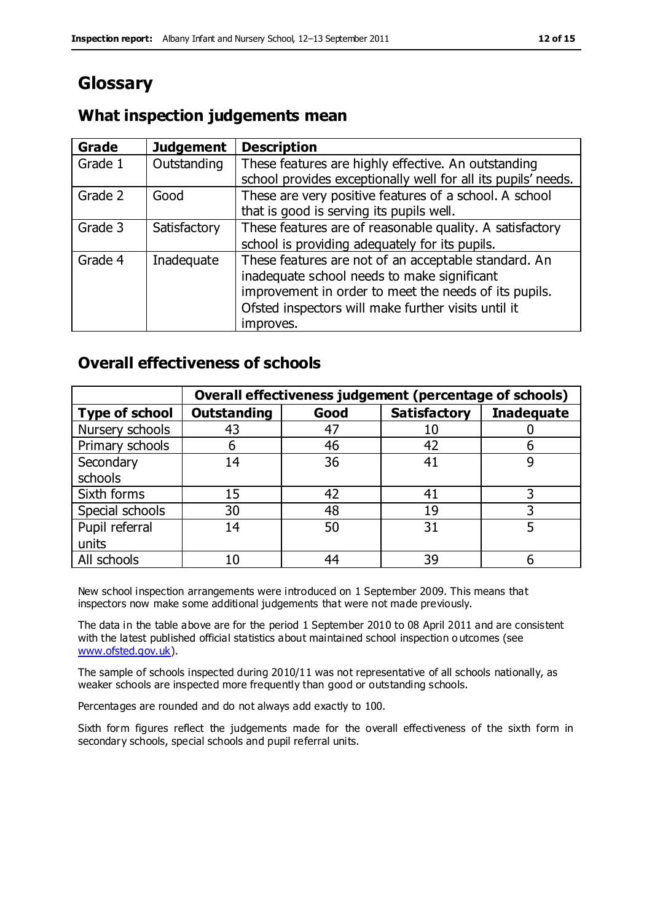# **Glossary**

## **What inspection judgements mean**

| <b>Grade</b> | <b>Judgement</b> | <b>Description</b>                                                                                                   |
|--------------|------------------|----------------------------------------------------------------------------------------------------------------------|
| Grade 1      | Outstanding      | These features are highly effective. An outstanding<br>school provides exceptionally well for all its pupils' needs. |
|              |                  |                                                                                                                      |
| Grade 2      | Good             | These are very positive features of a school. A school                                                               |
|              |                  | that is good is serving its pupils well.                                                                             |
| Grade 3      | Satisfactory     | These features are of reasonable quality. A satisfactory                                                             |
|              |                  | school is providing adequately for its pupils.                                                                       |
| Grade 4      | Inadequate       | These features are not of an acceptable standard. An                                                                 |
|              |                  | inadequate school needs to make significant                                                                          |
|              |                  | improvement in order to meet the needs of its pupils.                                                                |
|              |                  | Ofsted inspectors will make further visits until it                                                                  |
|              |                  | improves.                                                                                                            |

### **Overall effectiveness of schools**

|                       | Overall effectiveness judgement (percentage of schools) |      |                     |                   |
|-----------------------|---------------------------------------------------------|------|---------------------|-------------------|
| <b>Type of school</b> | <b>Outstanding</b>                                      | Good | <b>Satisfactory</b> | <b>Inadequate</b> |
| Nursery schools       | 43                                                      | 47   | 10                  |                   |
| Primary schools       | 6                                                       | 46   | 42                  |                   |
| Secondary             | 14                                                      | 36   | 41                  |                   |
| schools               |                                                         |      |                     |                   |
| Sixth forms           | 15                                                      | 42   | 41                  | 3                 |
| Special schools       | 30                                                      | 48   | 19                  |                   |
| Pupil referral        | 14                                                      | 50   | 31                  |                   |
| units                 |                                                         |      |                     |                   |
| All schools           | 10                                                      | 44   | 39                  |                   |

New school inspection arrangements were introduced on 1 September 2009. This means that inspectors now make some additional judgements that were not made previously.

The data in the table above are for the period 1 September 2010 to 08 April 2011 and are consistent with the latest published official statistics about maintained school inspection o utcomes (see [www.ofsted.gov.uk\)](http://www.ofsted.gov.uk/).

The sample of schools inspected during 2010/11 was not representative of all schools nationally, as weaker schools are inspected more frequently than good or outstanding schools.

Percentages are rounded and do not always add exactly to 100.

Sixth form figures reflect the judgements made for the overall effectiveness of the sixth form in secondary schools, special schools and pupil referral units.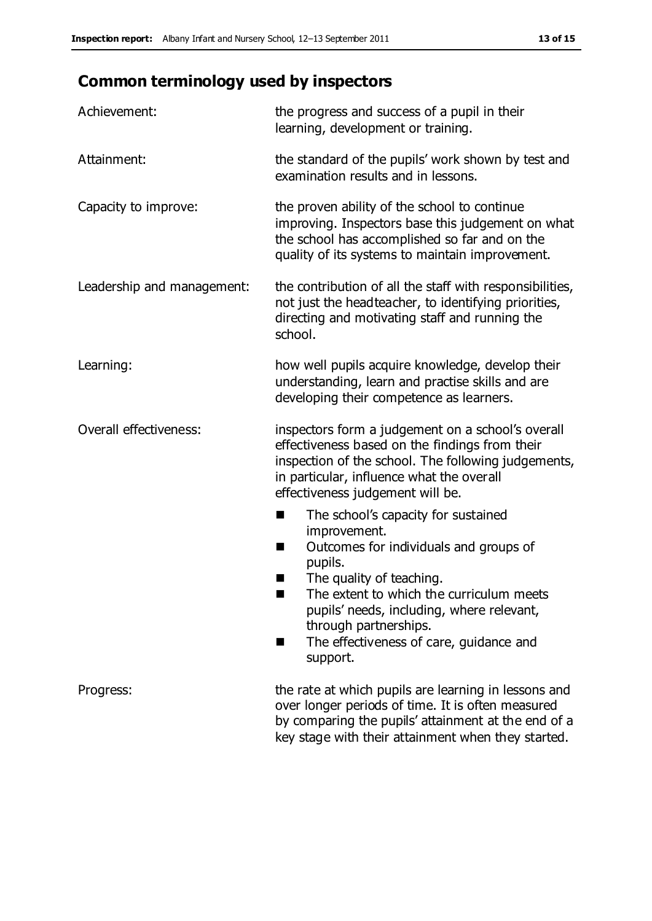# **Common terminology used by inspectors**

| Achievement:               | the progress and success of a pupil in their<br>learning, development or training.                                                                                                                                                                                                                                           |  |  |
|----------------------------|------------------------------------------------------------------------------------------------------------------------------------------------------------------------------------------------------------------------------------------------------------------------------------------------------------------------------|--|--|
| Attainment:                | the standard of the pupils' work shown by test and<br>examination results and in lessons.                                                                                                                                                                                                                                    |  |  |
| Capacity to improve:       | the proven ability of the school to continue<br>improving. Inspectors base this judgement on what<br>the school has accomplished so far and on the<br>quality of its systems to maintain improvement.                                                                                                                        |  |  |
| Leadership and management: | the contribution of all the staff with responsibilities,<br>not just the headteacher, to identifying priorities,<br>directing and motivating staff and running the<br>school.                                                                                                                                                |  |  |
| Learning:                  | how well pupils acquire knowledge, develop their<br>understanding, learn and practise skills and are<br>developing their competence as learners.                                                                                                                                                                             |  |  |
| Overall effectiveness:     | inspectors form a judgement on a school's overall<br>effectiveness based on the findings from their<br>inspection of the school. The following judgements,<br>in particular, influence what the overall<br>effectiveness judgement will be.                                                                                  |  |  |
|                            | The school's capacity for sustained<br>×<br>improvement.<br>Outcomes for individuals and groups of<br>п<br>pupils.<br>The quality of teaching.<br>The extent to which the curriculum meets<br>pupils' needs, including, where relevant,<br>through partnerships.<br>The effectiveness of care, guidance and<br>ш<br>support. |  |  |
| Progress:                  | the rate at which pupils are learning in lessons and<br>over longer periods of time. It is often measured<br>by comparing the pupils' attainment at the end of a<br>key stage with their attainment when they started.                                                                                                       |  |  |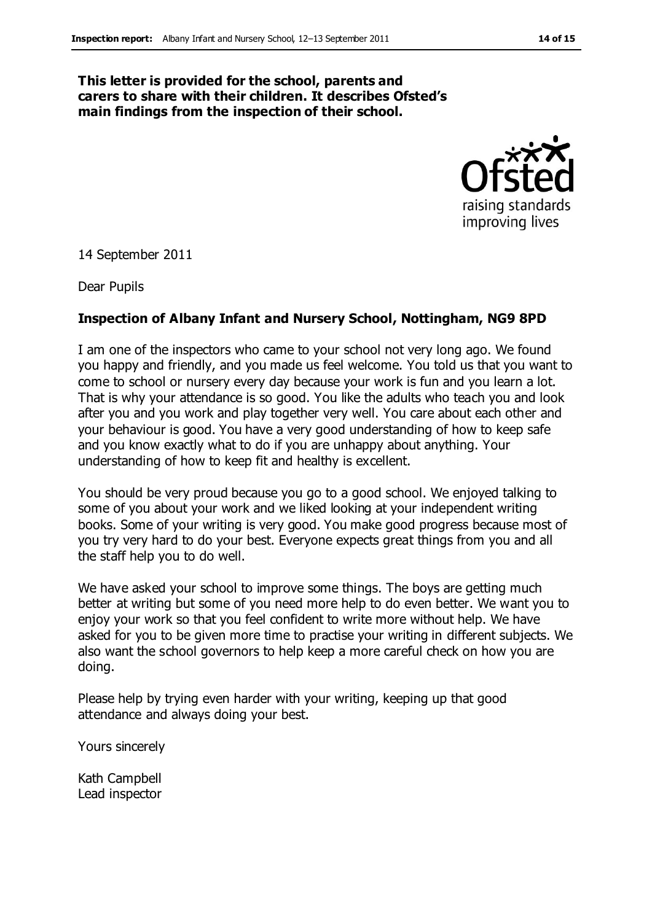#### **This letter is provided for the school, parents and carers to share with their children. It describes Ofsted's main findings from the inspection of their school.**



14 September 2011

Dear Pupils

#### **Inspection of Albany Infant and Nursery School, Nottingham, NG9 8PD**

I am one of the inspectors who came to your school not very long ago. We found you happy and friendly, and you made us feel welcome. You told us that you want to come to school or nursery every day because your work is fun and you learn a lot. That is why your attendance is so good. You like the adults who teach you and look after you and you work and play together very well. You care about each other and your behaviour is good. You have a very good understanding of how to keep safe and you know exactly what to do if you are unhappy about anything. Your understanding of how to keep fit and healthy is excellent.

You should be very proud because you go to a good school. We enjoyed talking to some of you about your work and we liked looking at your independent writing books. Some of your writing is very good. You make good progress because most of you try very hard to do your best. Everyone expects great things from you and all the staff help you to do well.

We have asked your school to improve some things. The boys are getting much better at writing but some of you need more help to do even better. We want you to enjoy your work so that you feel confident to write more without help. We have asked for you to be given more time to practise your writing in different subjects. We also want the school governors to help keep a more careful check on how you are doing.

Please help by trying even harder with your writing, keeping up that good attendance and always doing your best.

Yours sincerely

Kath Campbell Lead inspector